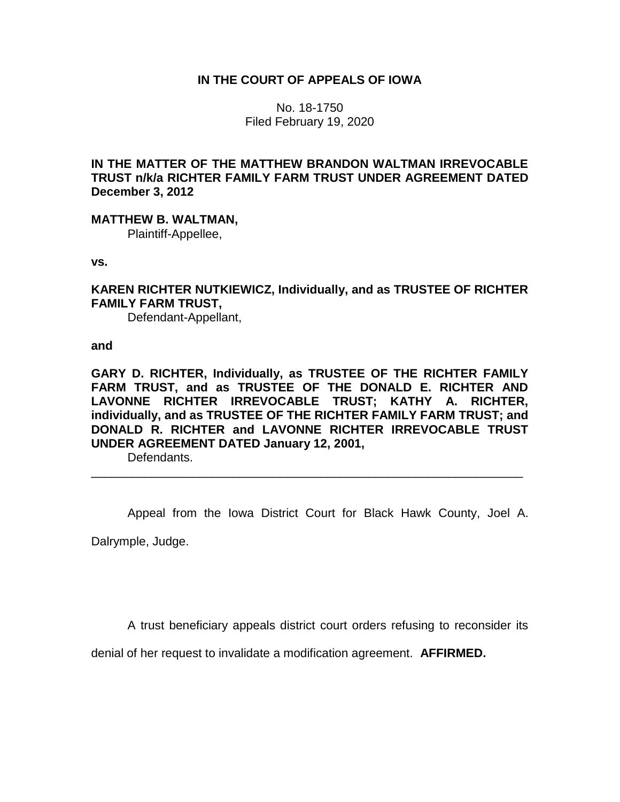# **IN THE COURT OF APPEALS OF IOWA**

No. 18-1750 Filed February 19, 2020

**IN THE MATTER OF THE MATTHEW BRANDON WALTMAN IRREVOCABLE TRUST n/k/a RICHTER FAMILY FARM TRUST UNDER AGREEMENT DATED December 3, 2012**

**MATTHEW B. WALTMAN,**

Plaintiff-Appellee,

**vs.**

**KAREN RICHTER NUTKIEWICZ, Individually, and as TRUSTEE OF RICHTER FAMILY FARM TRUST,**

Defendant-Appellant,

**and**

**GARY D. RICHTER, Individually, as TRUSTEE OF THE RICHTER FAMILY FARM TRUST, and as TRUSTEE OF THE DONALD E. RICHTER AND LAVONNE RICHTER IRREVOCABLE TRUST; KATHY A. RICHTER, individually, and as TRUSTEE OF THE RICHTER FAMILY FARM TRUST; and DONALD R. RICHTER and LAVONNE RICHTER IRREVOCABLE TRUST UNDER AGREEMENT DATED January 12, 2001,**

Defendants.

Appeal from the Iowa District Court for Black Hawk County, Joel A. Dalrymple, Judge.

\_\_\_\_\_\_\_\_\_\_\_\_\_\_\_\_\_\_\_\_\_\_\_\_\_\_\_\_\_\_\_\_\_\_\_\_\_\_\_\_\_\_\_\_\_\_\_\_\_\_\_\_\_\_\_\_\_\_\_\_\_\_\_\_

A trust beneficiary appeals district court orders refusing to reconsider its

denial of her request to invalidate a modification agreement. **AFFIRMED.**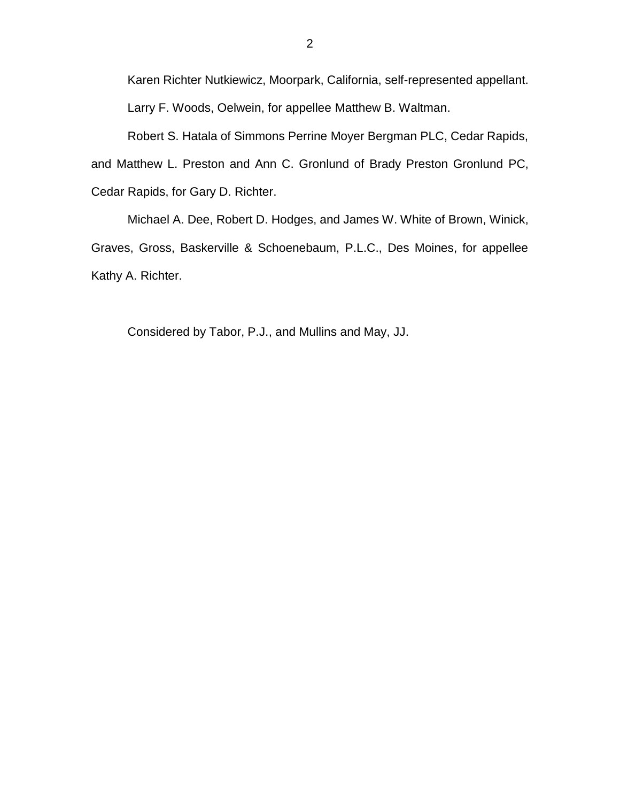Karen Richter Nutkiewicz, Moorpark, California, self-represented appellant. Larry F. Woods, Oelwein, for appellee Matthew B. Waltman.

Robert S. Hatala of Simmons Perrine Moyer Bergman PLC, Cedar Rapids, and Matthew L. Preston and Ann C. Gronlund of Brady Preston Gronlund PC, Cedar Rapids, for Gary D. Richter.

Michael A. Dee, Robert D. Hodges, and James W. White of Brown, Winick, Graves, Gross, Baskerville & Schoenebaum, P.L.C., Des Moines, for appellee Kathy A. Richter.

Considered by Tabor, P.J., and Mullins and May, JJ.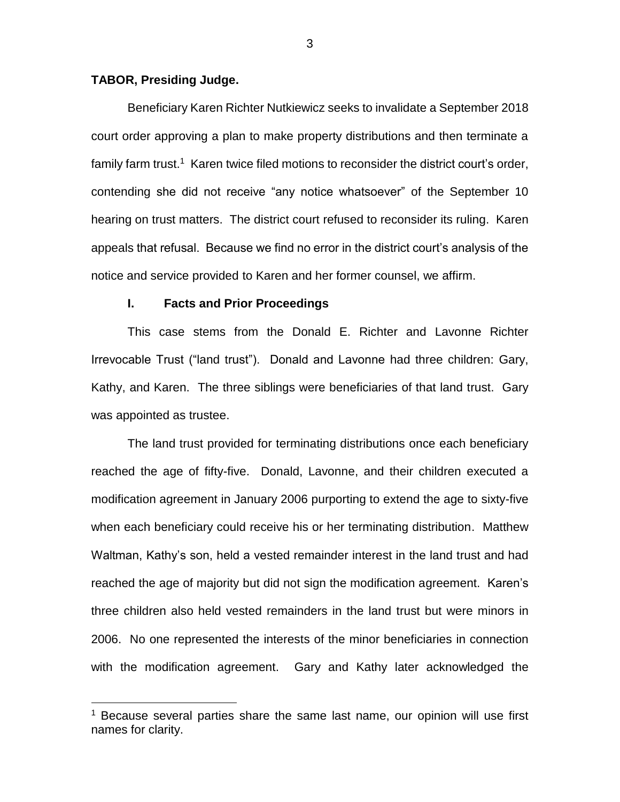## **TABOR, Presiding Judge.**

 $\overline{a}$ 

Beneficiary Karen Richter Nutkiewicz seeks to invalidate a September 2018 court order approving a plan to make property distributions and then terminate a family farm trust.<sup>1</sup> Karen twice filed motions to reconsider the district court's order, contending she did not receive "any notice whatsoever" of the September 10 hearing on trust matters. The district court refused to reconsider its ruling. Karen appeals that refusal. Because we find no error in the district court's analysis of the notice and service provided to Karen and her former counsel, we affirm.

## **I. Facts and Prior Proceedings**

This case stems from the Donald E. Richter and Lavonne Richter Irrevocable Trust ("land trust"). Donald and Lavonne had three children: Gary, Kathy, and Karen. The three siblings were beneficiaries of that land trust. Gary was appointed as trustee.

The land trust provided for terminating distributions once each beneficiary reached the age of fifty-five. Donald, Lavonne, and their children executed a modification agreement in January 2006 purporting to extend the age to sixty-five when each beneficiary could receive his or her terminating distribution. Matthew Waltman, Kathy's son, held a vested remainder interest in the land trust and had reached the age of majority but did not sign the modification agreement. Karen's three children also held vested remainders in the land trust but were minors in 2006. No one represented the interests of the minor beneficiaries in connection with the modification agreement. Gary and Kathy later acknowledged the

<sup>&</sup>lt;sup>1</sup> Because several parties share the same last name, our opinion will use first names for clarity.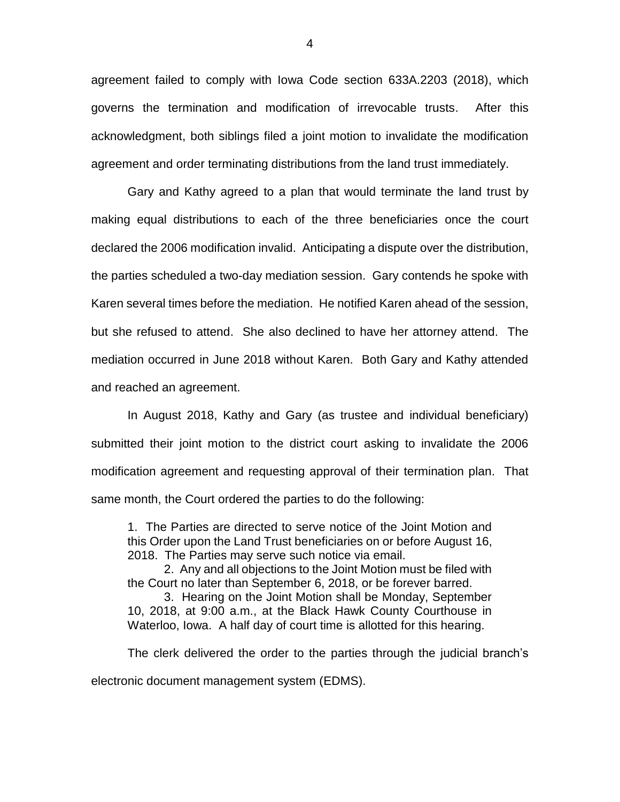agreement failed to comply with Iowa Code section 633A.2203 (2018), which governs the termination and modification of irrevocable trusts. After this acknowledgment, both siblings filed a joint motion to invalidate the modification agreement and order terminating distributions from the land trust immediately.

Gary and Kathy agreed to a plan that would terminate the land trust by making equal distributions to each of the three beneficiaries once the court declared the 2006 modification invalid. Anticipating a dispute over the distribution, the parties scheduled a two-day mediation session. Gary contends he spoke with Karen several times before the mediation. He notified Karen ahead of the session, but she refused to attend. She also declined to have her attorney attend. The mediation occurred in June 2018 without Karen. Both Gary and Kathy attended and reached an agreement.

In August 2018, Kathy and Gary (as trustee and individual beneficiary) submitted their joint motion to the district court asking to invalidate the 2006 modification agreement and requesting approval of their termination plan. That same month, the Court ordered the parties to do the following:

1. The Parties are directed to serve notice of the Joint Motion and this Order upon the Land Trust beneficiaries on or before August 16, 2018. The Parties may serve such notice via email.

2. Any and all objections to the Joint Motion must be filed with the Court no later than September 6, 2018, or be forever barred.

3. Hearing on the Joint Motion shall be Monday, September 10, 2018, at 9:00 a.m., at the Black Hawk County Courthouse in Waterloo, Iowa. A half day of court time is allotted for this hearing.

The clerk delivered the order to the parties through the judicial branch's electronic document management system (EDMS).

4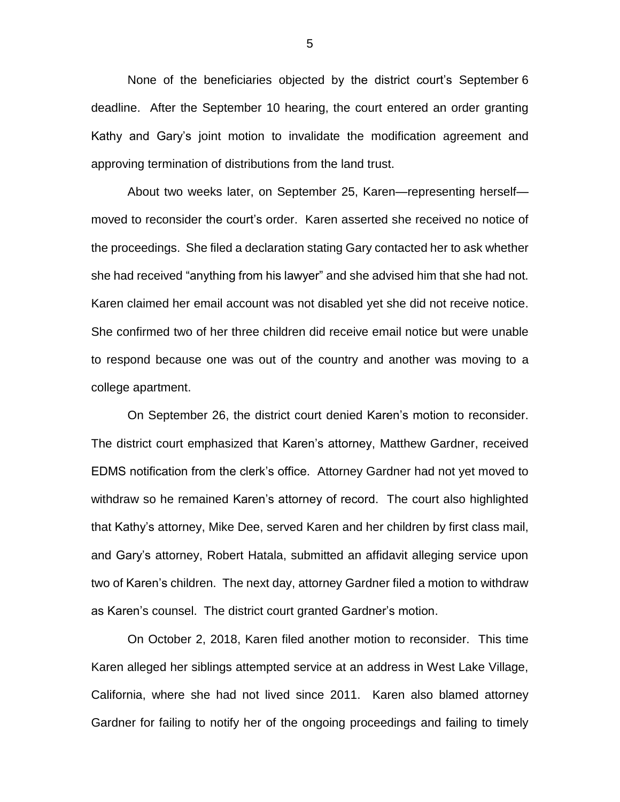None of the beneficiaries objected by the district court's September 6 deadline. After the September 10 hearing, the court entered an order granting Kathy and Gary's joint motion to invalidate the modification agreement and approving termination of distributions from the land trust.

About two weeks later, on September 25, Karen—representing herself moved to reconsider the court's order. Karen asserted she received no notice of the proceedings. She filed a declaration stating Gary contacted her to ask whether she had received "anything from his lawyer" and she advised him that she had not. Karen claimed her email account was not disabled yet she did not receive notice. She confirmed two of her three children did receive email notice but were unable to respond because one was out of the country and another was moving to a college apartment.

On September 26, the district court denied Karen's motion to reconsider. The district court emphasized that Karen's attorney, Matthew Gardner, received EDMS notification from the clerk's office. Attorney Gardner had not yet moved to withdraw so he remained Karen's attorney of record. The court also highlighted that Kathy's attorney, Mike Dee, served Karen and her children by first class mail, and Gary's attorney, Robert Hatala, submitted an affidavit alleging service upon two of Karen's children. The next day, attorney Gardner filed a motion to withdraw as Karen's counsel. The district court granted Gardner's motion.

On October 2, 2018, Karen filed another motion to reconsider. This time Karen alleged her siblings attempted service at an address in West Lake Village, California, where she had not lived since 2011. Karen also blamed attorney Gardner for failing to notify her of the ongoing proceedings and failing to timely

5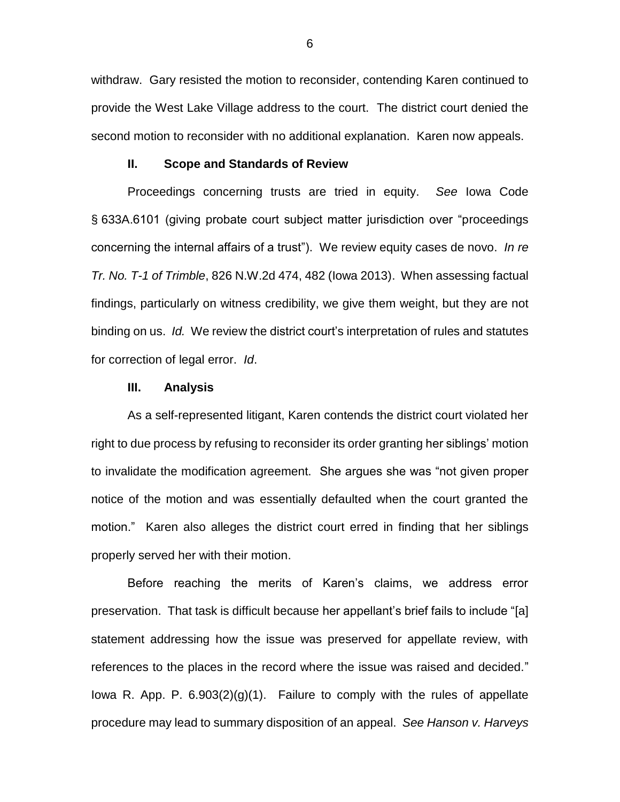withdraw. Gary resisted the motion to reconsider, contending Karen continued to provide the West Lake Village address to the court. The district court denied the second motion to reconsider with no additional explanation. Karen now appeals.

### **II. Scope and Standards of Review**

Proceedings concerning trusts are tried in equity. *See* Iowa Code § 633A.6101 (giving probate court subject matter jurisdiction over "proceedings concerning the internal affairs of a trust"). We review equity cases de novo. *In re Tr. No. T-1 of Trimble*, 826 N.W.2d 474, 482 (Iowa 2013). When assessing factual findings, particularly on witness credibility, we give them weight, but they are not binding on us. *Id.* We review the district court's interpretation of rules and statutes for correction of legal error. *Id*.

#### **III. Analysis**

As a self-represented litigant, Karen contends the district court violated her right to due process by refusing to reconsider its order granting her siblings' motion to invalidate the modification agreement. She argues she was "not given proper notice of the motion and was essentially defaulted when the court granted the motion." Karen also alleges the district court erred in finding that her siblings properly served her with their motion.

Before reaching the merits of Karen's claims, we address error preservation. That task is difficult because her appellant's brief fails to include "[a] statement addressing how the issue was preserved for appellate review, with references to the places in the record where the issue was raised and decided." Iowa R. App. P.  $6.903(2)(g)(1)$ . Failure to comply with the rules of appellate procedure may lead to summary disposition of an appeal. *See Hanson v. Harveys*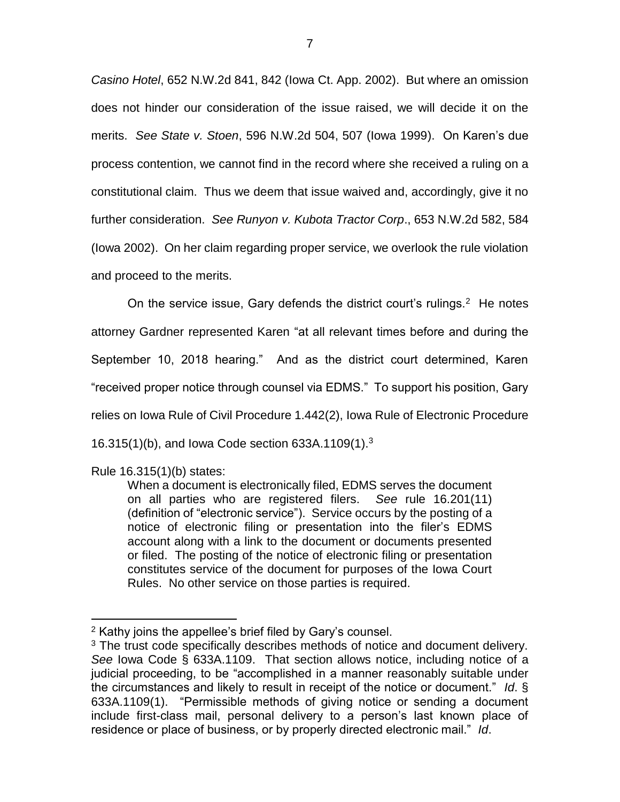*Casino Hotel*, 652 N.W.2d 841, 842 (Iowa Ct. App. 2002). But where an omission does not hinder our consideration of the issue raised, we will decide it on the merits. *See State v. Stoen*, 596 N.W.2d 504, 507 (Iowa 1999). On Karen's due process contention, we cannot find in the record where she received a ruling on a constitutional claim. Thus we deem that issue waived and, accordingly, give it no further consideration. *See Runyon v. Kubota Tractor Corp*., 653 N.W.2d 582, 584 (Iowa 2002). On her claim regarding proper service, we overlook the rule violation and proceed to the merits.

On the service issue, Gary defends the district court's rulings.<sup>2</sup> He notes attorney Gardner represented Karen "at all relevant times before and during the September 10, 2018 hearing." And as the district court determined, Karen "received proper notice through counsel via EDMS." To support his position, Gary relies on Iowa Rule of Civil Procedure 1.442(2), Iowa Rule of Electronic Procedure 16.315(1)(b), and Iowa Code section 633A.1109(1).<sup>3</sup>

Rule 16.315(1)(b) states:

 $\overline{a}$ 

When a document is electronically filed, EDMS serves the document on all parties who are registered filers. *See* rule 16.201(11) (definition of "electronic service"). Service occurs by the posting of a notice of electronic filing or presentation into the filer's EDMS account along with a link to the document or documents presented or filed. The posting of the notice of electronic filing or presentation constitutes service of the document for purposes of the Iowa Court Rules. No other service on those parties is required.

<sup>&</sup>lt;sup>2</sup> Kathy joins the appellee's brief filed by Gary's counsel.

 $3$  The trust code specifically describes methods of notice and document delivery. *See* Iowa Code § 633A.1109. That section allows notice, including notice of a judicial proceeding, to be "accomplished in a manner reasonably suitable under the circumstances and likely to result in receipt of the notice or document." *Id*. § 633A.1109(1). "Permissible methods of giving notice or sending a document include first-class mail, personal delivery to a person's last known place of residence or place of business, or by properly directed electronic mail." *Id*.